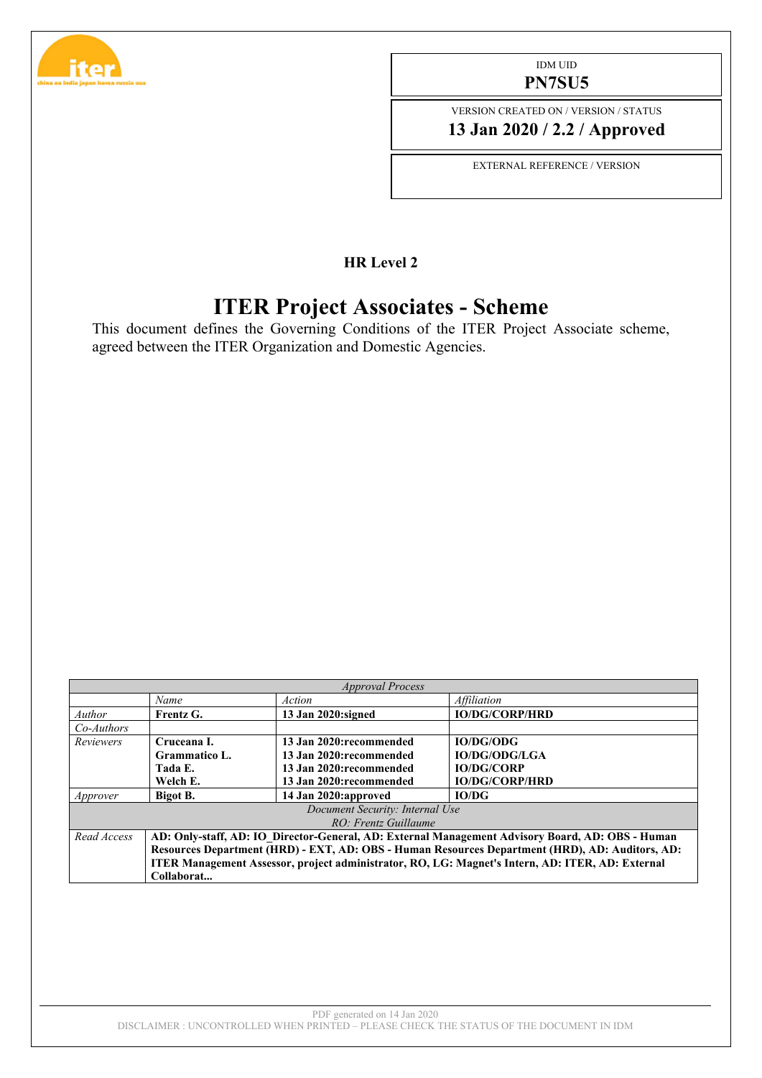

#### IDM UID **PN7SU5**

VERSION CREATED ON / VERSION / STATUS **13 Jan 2020 / 2.2 / Approved**

EXTERNAL REFERENCE / VERSION

### **HR Level 2**

# **ITER Project Associates - Scheme**

This document defines the Governing Conditions of the ITER Project Associate scheme, agreed between the ITER Organization and Domestic Agencies.

| <b>Approval Process</b>         |                                                                                                  |                         |                           |  |  |  |  |
|---------------------------------|--------------------------------------------------------------------------------------------------|-------------------------|---------------------------|--|--|--|--|
|                                 | Name                                                                                             | Action                  | <i><b>Affiliation</b></i> |  |  |  |  |
| Author                          | Frentz G.                                                                                        | 13 Jan 2020: signed     | <b>IO/DG/CORP/HRD</b>     |  |  |  |  |
| $Co-Authors$                    |                                                                                                  |                         |                           |  |  |  |  |
| <b>Reviewers</b>                | Cruceana L                                                                                       | 13 Jan 2020:recommended | <b>IO/DG/ODG</b>          |  |  |  |  |
|                                 | Grammatico L.                                                                                    | 13 Jan 2020:recommended | <b>IO/DG/ODG/LGA</b>      |  |  |  |  |
|                                 | Tada E.                                                                                          | 13 Jan 2020:recommended | <b>IO/DG/CORP</b>         |  |  |  |  |
|                                 | Welch E.                                                                                         | 13 Jan 2020:recommended | <b>IO/DG/CORP/HRD</b>     |  |  |  |  |
| Approver                        | Bigot B.                                                                                         | 14 Jan 2020: approved   | IO/DG                     |  |  |  |  |
| Document Security: Internal Use |                                                                                                  |                         |                           |  |  |  |  |
| $RO \cdot$ Frentz Guillaume     |                                                                                                  |                         |                           |  |  |  |  |
| Read Access                     | AD: Only-staff, AD: IO Director-General, AD: External Management Advisory Board, AD: OBS - Human |                         |                           |  |  |  |  |
|                                 | Resources Department (HRD) - EXT, AD: OBS - Human Resources Department (HRD), AD: Auditors, AD:  |                         |                           |  |  |  |  |
|                                 | ITER Management Assessor, project administrator, RO, LG: Magnet's Intern, AD: ITER, AD: External |                         |                           |  |  |  |  |
|                                 | Collaborat                                                                                       |                         |                           |  |  |  |  |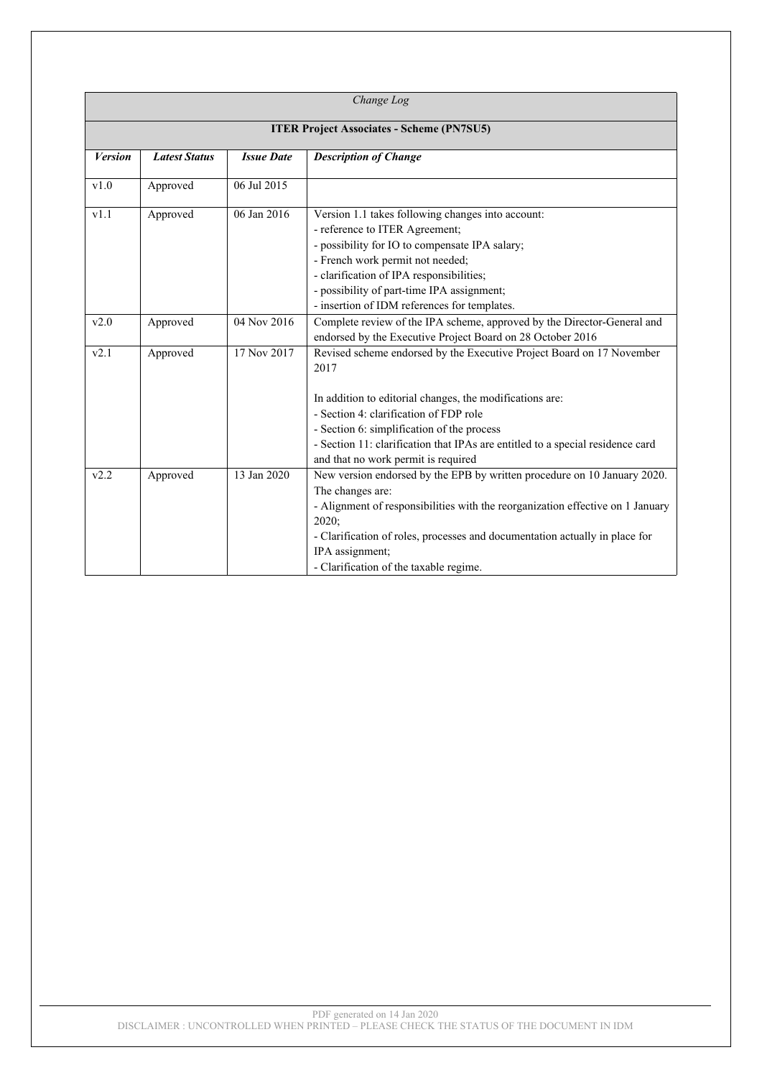| Change Log                                       |                      |                   |                                                                                                                                                                                                                                                                                                                                                            |  |  |
|--------------------------------------------------|----------------------|-------------------|------------------------------------------------------------------------------------------------------------------------------------------------------------------------------------------------------------------------------------------------------------------------------------------------------------------------------------------------------------|--|--|
| <b>ITER Project Associates - Scheme (PN7SU5)</b> |                      |                   |                                                                                                                                                                                                                                                                                                                                                            |  |  |
| <b>Version</b>                                   | <b>Latest Status</b> | <b>Issue Date</b> | <b>Description of Change</b>                                                                                                                                                                                                                                                                                                                               |  |  |
| v1.0                                             | Approved             | 06 Jul 2015       |                                                                                                                                                                                                                                                                                                                                                            |  |  |
| v1.1                                             | Approved             | 06 Jan 2016       | Version 1.1 takes following changes into account:<br>- reference to ITER Agreement;<br>- possibility for IO to compensate IPA salary;<br>- French work permit not needed;<br>- clarification of IPA responsibilities;<br>- possibility of part-time IPA assignment;<br>- insertion of IDM references for templates.                                        |  |  |
| v2.0                                             | Approved             | 04 Nov 2016       | Complete review of the IPA scheme, approved by the Director-General and<br>endorsed by the Executive Project Board on 28 October 2016                                                                                                                                                                                                                      |  |  |
| v2.1                                             | Approved             | 17 Nov 2017       | Revised scheme endorsed by the Executive Project Board on 17 November<br>2017<br>In addition to editorial changes, the modifications are:<br>- Section 4: clarification of FDP role<br>- Section 6: simplification of the process<br>- Section 11: clarification that IPAs are entitled to a special residence card<br>and that no work permit is required |  |  |
| v2.2                                             | Approved             | 13 Jan 2020       | New version endorsed by the EPB by written procedure on 10 January 2020.<br>The changes are:<br>- Alignment of responsibilities with the reorganization effective on 1 January<br>2020;<br>- Clarification of roles, processes and documentation actually in place for<br>IPA assignment;<br>- Clarification of the taxable regime.                        |  |  |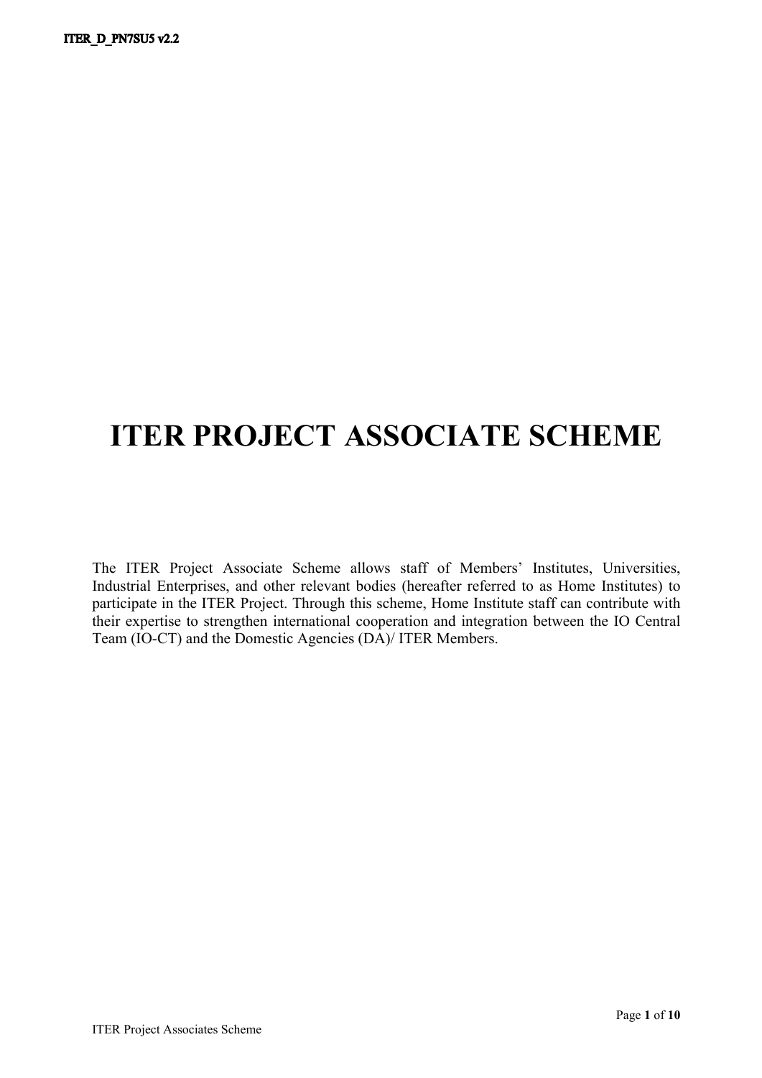# **ITER PROJECT ASSOCIATE SCHEME**

The ITER Project Associate Scheme allows staff of Members' Institutes, Universities, Industrial Enterprises, and other relevant bodies (hereafter referred to as Home Institutes) to participate in the ITER Project. Through this scheme, Home Institute staff can contribute with their expertise to strengthen international cooperation and integration between the IO Central Team (IO-CT) and the Domestic Agencies (DA)/ ITER Members.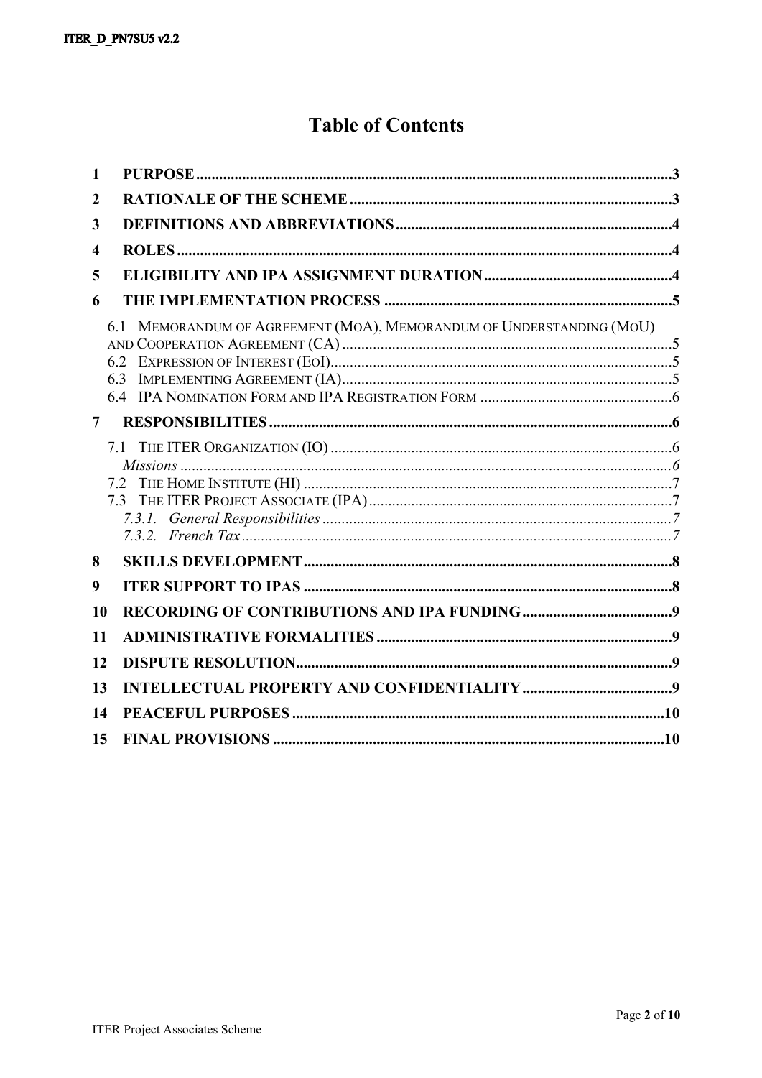# **Table of Contents**

| $\mathbf{1}$     |                                                                      |  |
|------------------|----------------------------------------------------------------------|--|
| $\boldsymbol{2}$ |                                                                      |  |
| 3                |                                                                      |  |
| 4                |                                                                      |  |
| 5                |                                                                      |  |
| 6                |                                                                      |  |
|                  | 6.1 MEMORANDUM OF AGREEMENT (MOA), MEMORANDUM OF UNDERSTANDING (MOU) |  |
| 7                |                                                                      |  |
|                  | 7.3                                                                  |  |
| 8                |                                                                      |  |
| 9                |                                                                      |  |
| 10               |                                                                      |  |
| 11               |                                                                      |  |
| 12               |                                                                      |  |
| 13               |                                                                      |  |
| 14               |                                                                      |  |
| 15               |                                                                      |  |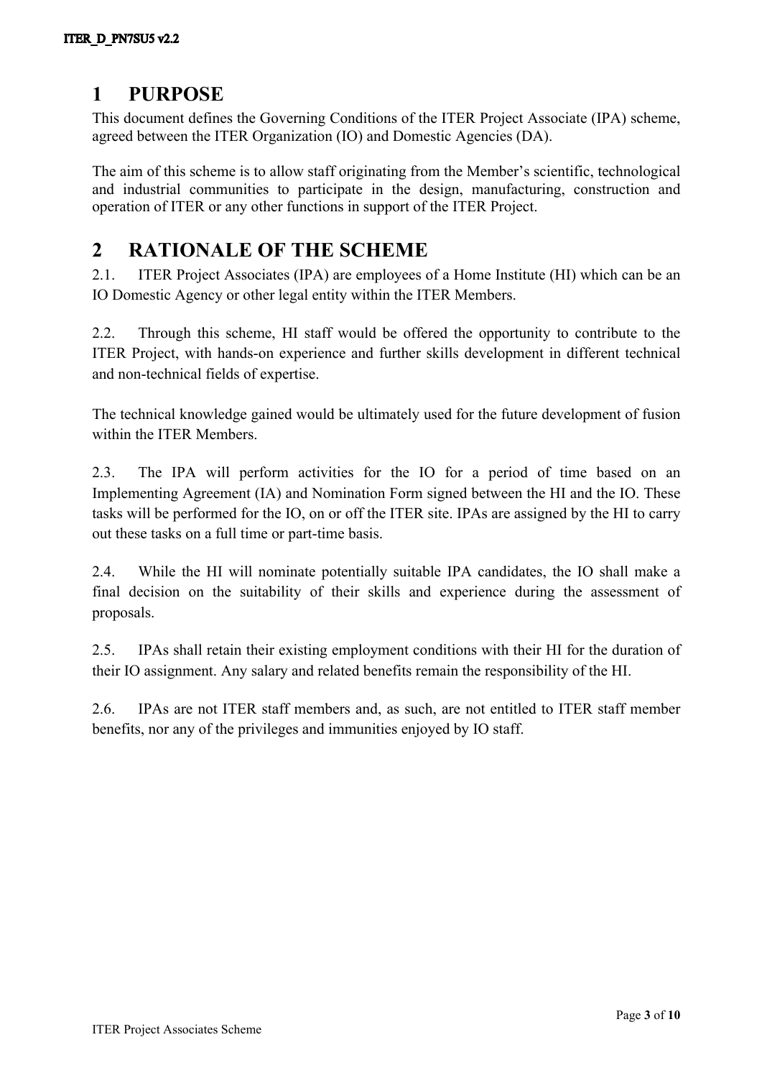# <span id="page-4-0"></span>**1 PURPOSE**

This document defines the Governing Conditions of the ITER Project Associate (IPA) scheme, agreed between the ITER Organization (IO) and Domestic Agencies (DA).

The aim of this scheme is to allow staff originating from the Member's scientific, technological and industrial communities to participate in the design, manufacturing, construction and operation of ITER or any other functions in support of the ITER Project.

### <span id="page-4-1"></span>**2 RATIONALE OF THE SCHEME**

2.1. ITER Project Associates (IPA) are employees of a Home Institute (HI) which can be an IO Domestic Agency or other legal entity within the ITER Members.

2.2. Through this scheme, HI staff would be offered the opportunity to contribute to the ITER Project, with hands-on experience and further skills development in different technical and non-technical fields of expertise.

The technical knowledge gained would be ultimately used for the future development of fusion within the ITER Members.

2.3. The IPA will perform activities for the IO for a period of time based on an Implementing Agreement (IA) and Nomination Form signed between the HI and the IO. These tasks will be performed for the IO, on or off the ITER site. IPAs are assigned by the HI to carry out these tasks on a full time or part-time basis.

2.4. While the HI will nominate potentially suitable IPA candidates, the IO shall make a final decision on the suitability of their skills and experience during the assessment of proposals.

2.5. IPAs shall retain their existing employment conditions with their HI for the duration of their IO assignment. Any salary and related benefits remain the responsibility of the HI.

2.6. IPAs are not ITER staff members and, as such, are not entitled to ITER staff member benefits, nor any of the privileges and immunities enjoyed by IO staff.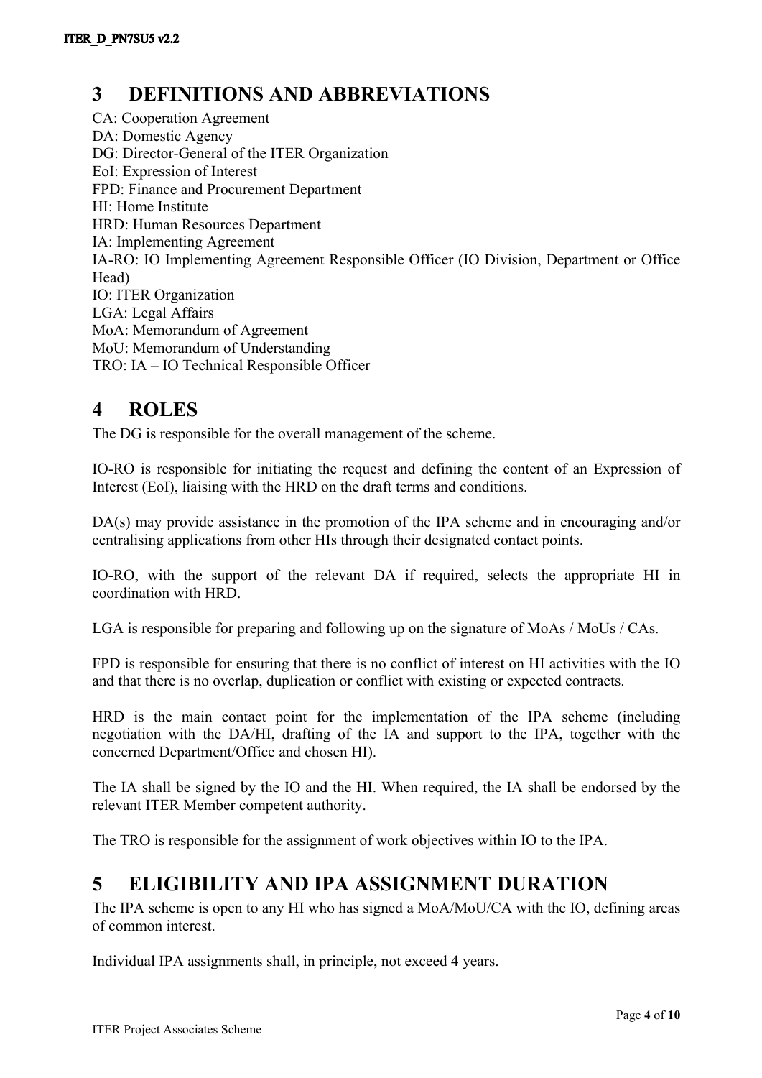# <span id="page-5-0"></span>**3 DEFINITIONS AND ABBREVIATIONS**

CA: Cooperation Agreement DA: Domestic Agency DG: Director-General of the ITER Organization EoI: Expression of Interest FPD: Finance and Procurement Department HI: Home Institute HRD: Human Resources Department IA: Implementing Agreement IA-RO: IO Implementing Agreement Responsible Officer (IO Division, Department or Office Head) IO: ITER Organization LGA: Legal Affairs MoA: Memorandum of Agreement MoU: Memorandum of Understanding TRO: IA – IO Technical Responsible Officer

# <span id="page-5-1"></span>**4 ROLES**

The DG is responsible for the overall management of the scheme.

IO-RO is responsible for initiating the request and defining the content of an Expression of Interest (EoI), liaising with the HRD on the draft terms and conditions.

DA(s) may provide assistance in the promotion of the IPA scheme and in encouraging and/or centralising applications from other HIs through their designated contact points.

IO-RO, with the support of the relevant DA if required, selects the appropriate HI in coordination with HRD.

LGA is responsible for preparing and following up on the signature of MoAs / MoUs / CAs.

FPD is responsible for ensuring that there is no conflict of interest on HI activities with the IO and that there is no overlap, duplication or conflict with existing or expected contracts.

HRD is the main contact point for the implementation of the IPA scheme (including negotiation with the DA/HI, drafting of the IA and support to the IPA, together with the concerned Department/Office and chosen HI).

The IA shall be signed by the IO and the HI. When required, the IA shall be endorsed by the relevant ITER Member competent authority.

<span id="page-5-2"></span>The TRO is responsible for the assignment of work objectives within IO to the IPA.

# **5 ELIGIBILITY AND IPA ASSIGNMENT DURATION**

The IPA scheme is open to any HI who has signed a MoA/MoU/CA with the IO, defining areas of common interest.

Individual IPA assignments shall, in principle, not exceed 4 years.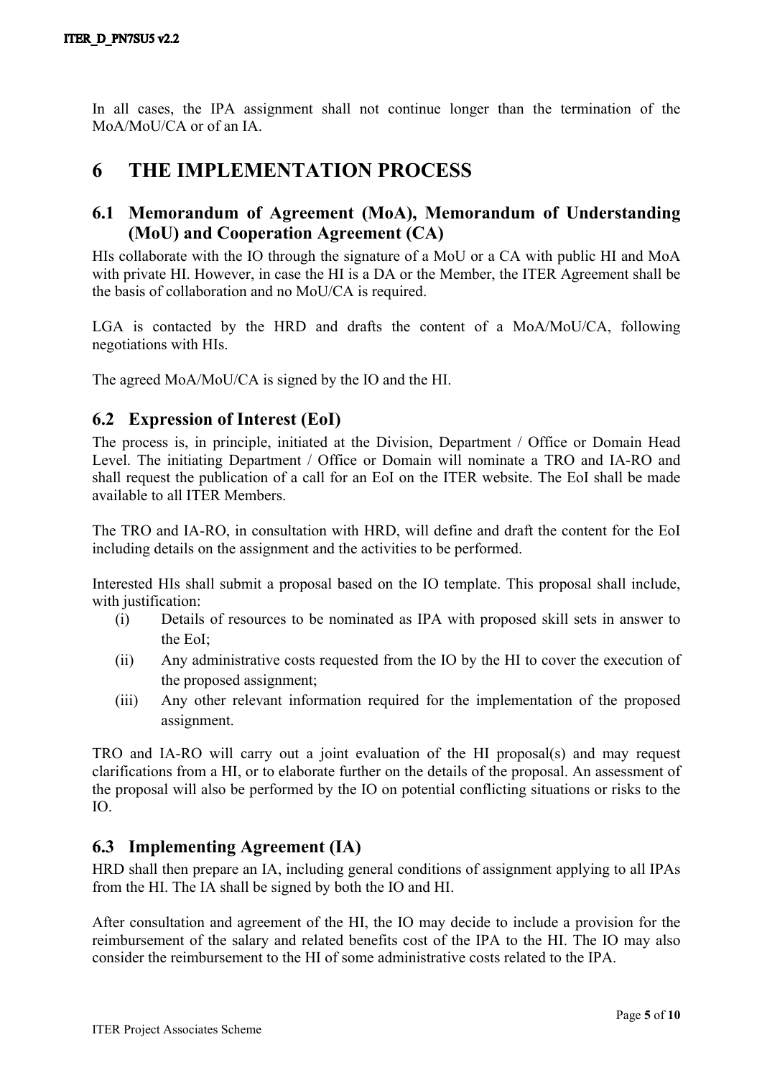In all cases, the IPA assignment shall not continue longer than the termination of the MoA/MoU/CA or of an IA.

### <span id="page-6-0"></span>**6 THE IMPLEMENTATION PROCESS**

#### <span id="page-6-1"></span>**6.1 Memorandum of Agreement (MoA), Memorandum of Understanding (MoU) and Cooperation Agreement (CA)**

HIs collaborate with the IO through the signature of a MoU or a CA with public HI and MoA with private HI. However, in case the HI is a DA or the Member, the ITER Agreement shall be the basis of collaboration and no MoU/CA is required.

LGA is contacted by the HRD and drafts the content of a MoA/MoU/CA, following negotiations with HIs.

<span id="page-6-2"></span>The agreed MoA/MoU/CA is signed by the IO and the HI.

### **6.2 Expression of Interest (EoI)**

The process is, in principle, initiated at the Division, Department / Office or Domain Head Level. The initiating Department / Office or Domain will nominate a TRO and IA-RO and shall request the publication of a call for an EoI on the ITER website. The EoI shall be made available to all ITER Members.

The TRO and IA-RO, in consultation with HRD, will define and draft the content for the EoI including details on the assignment and the activities to be performed.

Interested HIs shall submit a proposal based on the IO template. This proposal shall include, with justification:

- (i) Details of resources to be nominated as IPA with proposed skill sets in answer to the EoI;
- (ii) Any administrative costs requested from the IO by the HI to cover the execution of the proposed assignment;
- (iii) Any other relevant information required for the implementation of the proposed assignment.

TRO and IA-RO will carry out a joint evaluation of the HI proposal(s) and may request clarifications from a HI, or to elaborate further on the details of the proposal. An assessment of the proposal will also be performed by the IO on potential conflicting situations or risks to the IO.

#### <span id="page-6-3"></span>**6.3 Implementing Agreement (IA)**

HRD shall then prepare an IA, including general conditions of assignment applying to all IPAs from the HI. The IA shall be signed by both the IO and HI.

After consultation and agreement of the HI, the IO may decide to include a provision for the reimbursement of the salary and related benefits cost of the IPA to the HI. The IO may also consider the reimbursement to the HI of some administrative costs related to the IPA.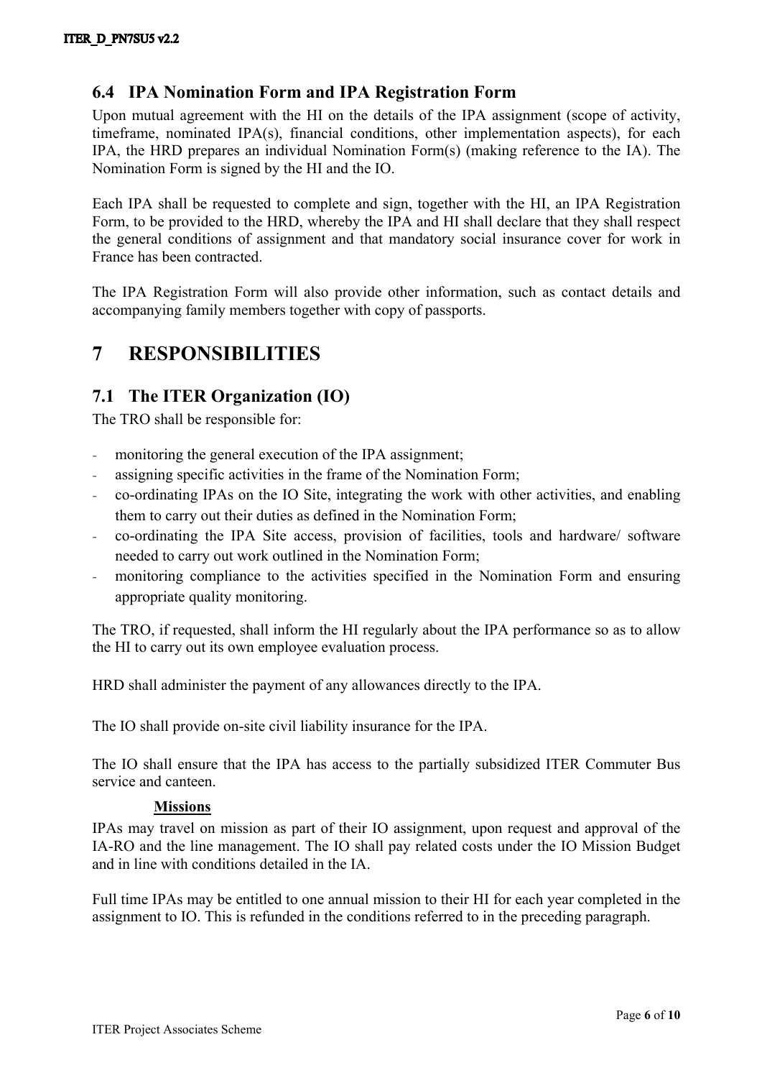### <span id="page-7-0"></span>**6.4 IPA Nomination Form and IPA Registration Form**

Upon mutual agreement with the HI on the details of the IPA assignment (scope of activity, timeframe, nominated IPA(s), financial conditions, other implementation aspects), for each IPA, the HRD prepares an individual Nomination Form(s) (making reference to the IA). The Nomination Form is signed by the HI and the IO.

Each IPA shall be requested to complete and sign, together with the HI, an IPA Registration Form, to be provided to the HRD, whereby the IPA and HI shall declare that they shall respect the general conditions of assignment and that mandatory social insurance cover for work in France has been contracted.

The IPA Registration Form will also provide other information, such as contact details and accompanying family members together with copy of passports.

# <span id="page-7-1"></span>**7 RESPONSIBILITIES**

### <span id="page-7-2"></span>**7.1 The ITER Organization (IO)**

The TRO shall be responsible for:

- monitoring the general execution of the IPA assignment;
- assigning specific activities in the frame of the Nomination Form;
- co-ordinating IPAs on the IO Site, integrating the work with other activities, and enabling them to carry out their duties as defined in the Nomination Form;
- co-ordinating the IPA Site access, provision of facilities, tools and hardware/ software needed to carry out work outlined in the Nomination Form;
- monitoring compliance to the activities specified in the Nomination Form and ensuring appropriate quality monitoring.

The TRO, if requested, shall inform the HI regularly about the IPA performance so as to allow the HI to carry out its own employee evaluation process.

HRD shall administer the payment of any allowances directly to the IPA.

The IO shall provide on-site civil liability insurance for the IPA.

The IO shall ensure that the IPA has access to the partially subsidized ITER Commuter Bus service and canteen.

#### <span id="page-7-3"></span>**Missions**

IPAs may travel on mission as part of their IO assignment, upon request and approval of the IA-RO and the line management. The IO shall pay related costs under the IO Mission Budget and in line with conditions detailed in the IA.

Full time IPAs may be entitled to one annual mission to their HI for each year completed in the assignment to IO. This is refunded in the conditions referred to in the preceding paragraph.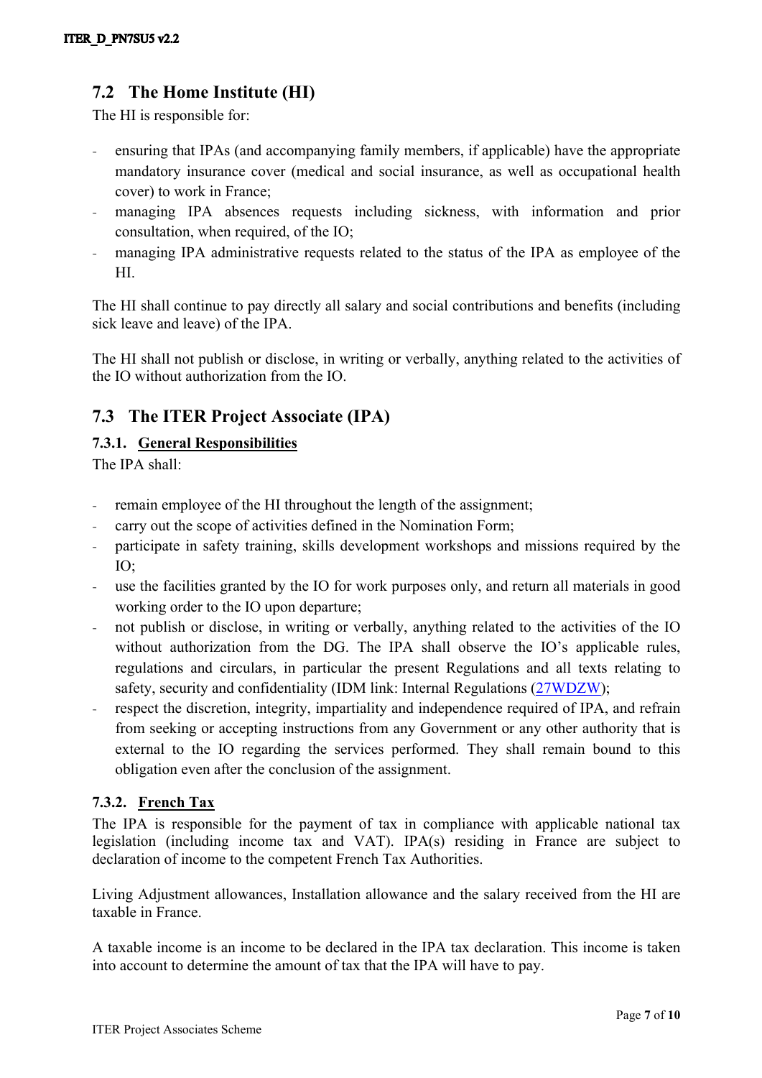### <span id="page-8-0"></span>**7.2 The Home Institute (HI)**

The HI is responsible for:

- ensuring that IPAs (and accompanying family members, if applicable) have the appropriate mandatory insurance cover (medical and social insurance, as well as occupational health cover) to work in France;
- managing IPA absences requests including sickness, with information and prior consultation, when required, of the IO;
- managing IPA administrative requests related to the status of the IPA as employee of the HI.

The HI shall continue to pay directly all salary and social contributions and benefits (including sick leave and leave) of the IPA.

The HI shall not publish or disclose, in writing or verbally, anything related to the activities of the IO without authorization from the IO.

### <span id="page-8-1"></span>**7.3 The ITER Project Associate (IPA)**

#### <span id="page-8-2"></span>**7.3.1. General Responsibilities**

The IPA shall:

- remain employee of the HI throughout the length of the assignment;
- carry out the scope of activities defined in the Nomination Form;
- participate in safety training, skills development workshops and missions required by the IO;
- use the facilities granted by the IO for work purposes only, and return all materials in good working order to the IO upon departure;
- not publish or disclose, in writing or verbally, anything related to the activities of the IO without authorization from the DG. The IPA shall observe the IO's applicable rules, regulations and circulars, in particular the present Regulations and all texts relating to safety, security and confidentiality (IDM link: Internal Regulations ([27WDZW\)](https://user.iter.org/?uid=27WDZW);
- respect the discretion, integrity, impartiality and independence required of IPA, and refrain from seeking or accepting instructions from any Government or any other authority that is external to the IO regarding the services performed. They shall remain bound to this obligation even after the conclusion of the assignment.

#### <span id="page-8-3"></span>**7.3.2. French Tax**

The IPA is responsible for the payment of tax in compliance with applicable national tax legislation (including income tax and VAT). IPA(s) residing in France are subject to declaration of income to the competent French Tax Authorities.

Living Adjustment allowances, Installation allowance and the salary received from the HI are taxable in France.

A taxable income is an income to be declared in the IPA tax declaration. This income is taken into account to determine the amount of tax that the IPA will have to pay.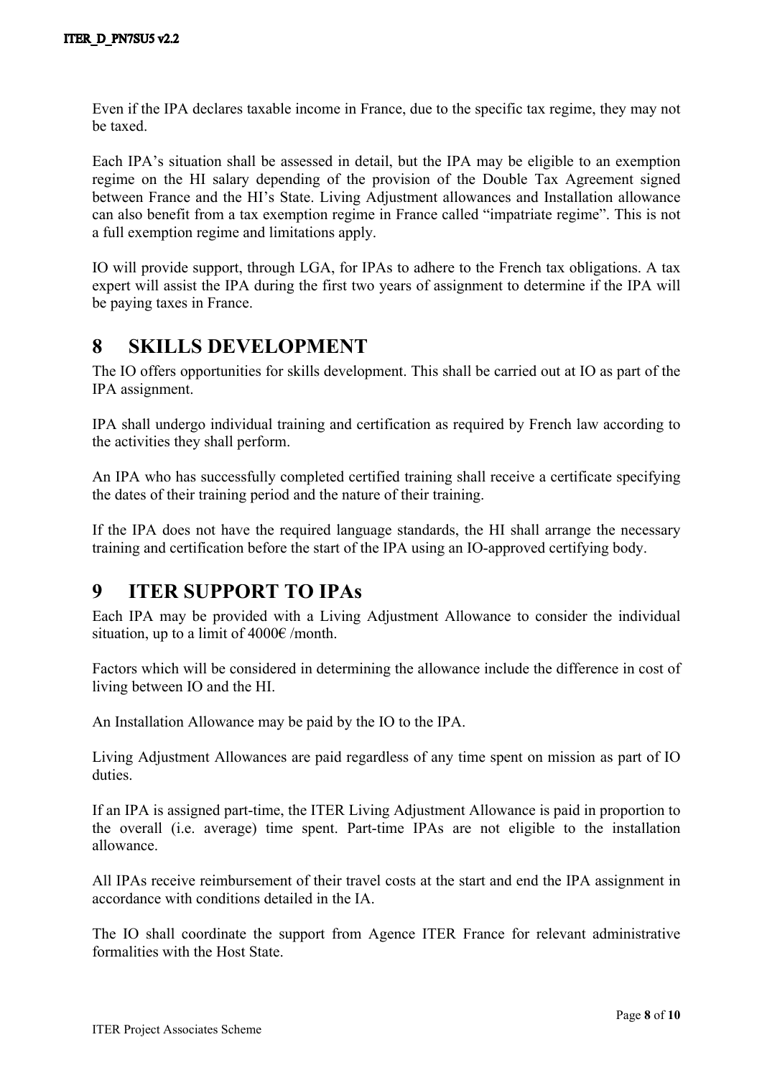Even if the IPA declares taxable income in France, due to the specific tax regime, they may not be taxed.

Each IPA's situation shall be assessed in detail, but the IPA may be eligible to an exemption regime on the HI salary depending of the provision of the Double Tax Agreement signed between France and the HI's State. Living Adjustment allowances and Installation allowance can also benefit from a tax exemption regime in France called "impatriate regime". This is not a full exemption regime and limitations apply.

IO will provide support, through LGA, for IPAs to adhere to the French tax obligations. A tax expert will assist the IPA during the first two years of assignment to determine if the IPA will be paying taxes in France.

# <span id="page-9-0"></span>**8 SKILLS DEVELOPMENT**

The IO offers opportunities for skills development. This shall be carried out at IO as part of the IPA assignment.

IPA shall undergo individual training and certification as required by French law according to the activities they shall perform.

An IPA who has successfully completed certified training shall receive a certificate specifying the dates of their training period and the nature of their training.

If the IPA does not have the required language standards, the HI shall arrange the necessary training and certification before the start of the IPA using an IO-approved certifying body.

# <span id="page-9-1"></span>**9 ITER SUPPORT TO IPAs**

Each IPA may be provided with a Living Adjustment Allowance to consider the individual situation, up to a limit of  $4000 \text{E/m}$  /month.

Factors which will be considered in determining the allowance include the difference in cost of living between IO and the HI.

An Installation Allowance may be paid by the IO to the IPA.

Living Adjustment Allowances are paid regardless of any time spent on mission as part of IO duties.

If an IPA is assigned part-time, the ITER Living Adjustment Allowance is paid in proportion to the overall (i.e. average) time spent. Part-time IPAs are not eligible to the installation allowance.

All IPAs receive reimbursement of their travel costs at the start and end the IPA assignment in accordance with conditions detailed in the IA.

The IO shall coordinate the support from Agence ITER France for relevant administrative formalities with the Host State.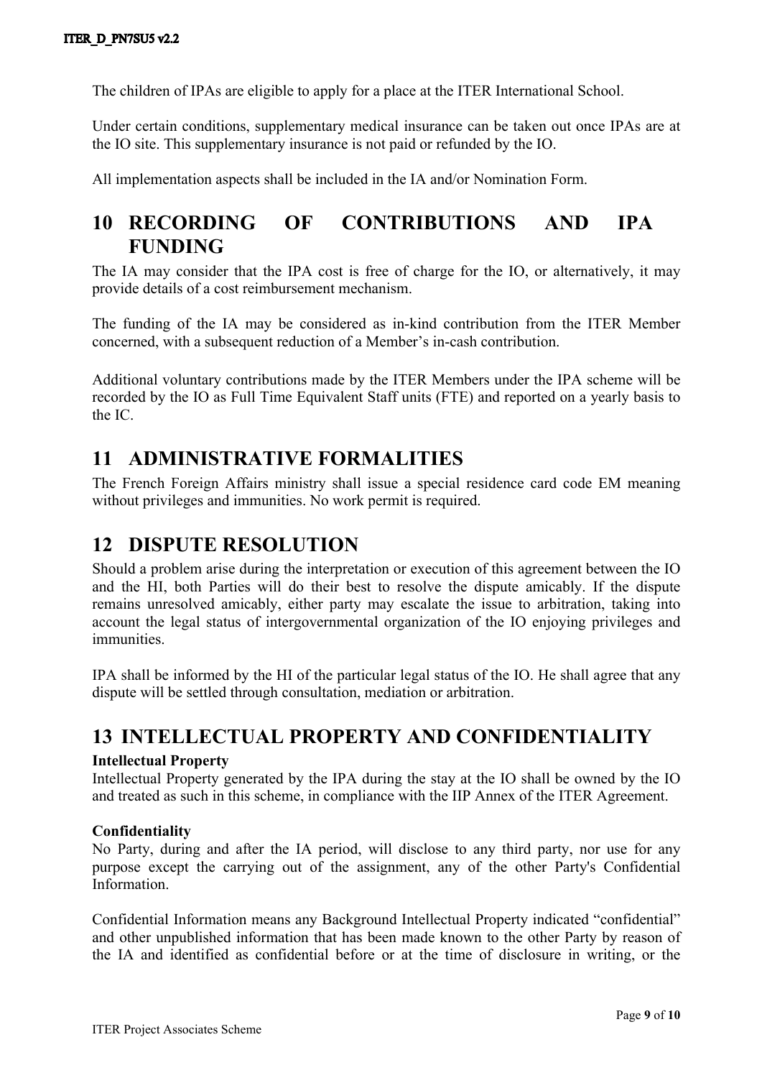The children of IPAs are eligible to apply for a place at the ITER International School.

Under certain conditions, supplementary medical insurance can be taken out once IPAs are at the IO site. This supplementary insurance is not paid or refunded by the IO.

<span id="page-10-0"></span>All implementation aspects shall be included in the IA and/or Nomination Form.

# **10 RECORDING OF CONTRIBUTIONS AND IPA FUNDING**

The IA may consider that the IPA cost is free of charge for the IO, or alternatively, it may provide details of a cost reimbursement mechanism.

The funding of the IA may be considered as in-kind contribution from the ITER Member concerned, with a subsequent reduction of a Member's in-cash contribution.

Additional voluntary contributions made by the ITER Members under the IPA scheme will be recorded by the IO as Full Time Equivalent Staff units (FTE) and reported on a yearly basis to the IC.

### <span id="page-10-1"></span>**11 ADMINISTRATIVE FORMALITIES**

The French Foreign Affairs ministry shall issue a special residence card code EM meaning without privileges and immunities. No work permit is required.

# <span id="page-10-2"></span>**12 DISPUTE RESOLUTION**

Should a problem arise during the interpretation or execution of this agreement between the IO and the HI, both Parties will do their best to resolve the dispute amicably. If the dispute remains unresolved amicably, either party may escalate the issue to arbitration, taking into account the legal status of intergovernmental organization of the IO enjoying privileges and **immunities** 

IPA shall be informed by the HI of the particular legal status of the IO. He shall agree that any dispute will be settled through consultation, mediation or arbitration.

### <span id="page-10-3"></span>**13 INTELLECTUAL PROPERTY AND CONFIDENTIALITY**

#### **Intellectual Property**

Intellectual Property generated by the IPA during the stay at the IO shall be owned by the IO and treated as such in this scheme, in compliance with the IIP Annex of the ITER Agreement.

#### **Confidentiality**

No Party, during and after the IA period, will disclose to any third party, nor use for any purpose except the carrying out of the assignment, any of the other Party's Confidential Information.

Confidential Information means any Background Intellectual Property indicated "confidential" and other unpublished information that has been made known to the other Party by reason of the IA and identified as confidential before or at the time of disclosure in writing, or the